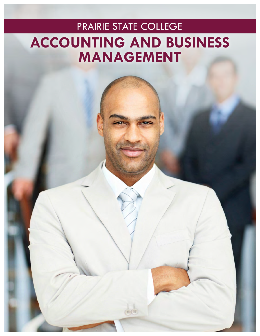# PRAIRIE STATE COLLEGE **ACCOUNTING AND BUSINESS MANAGEMENT**

 $\left(\frac{1}{n}\right)$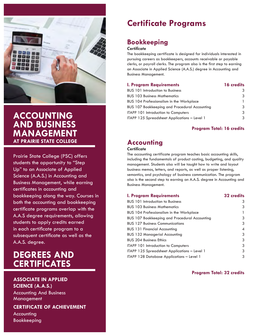

### **ACCOUNTING AND BUSINESS MANAGEMENT AT PRAIRIE STATE COLLEGE**

Prairie State College (PSC) offers students the opportunity to "Step Up" to an Associate of Applied Science (A.A.S.) in Accounting and Business Management, while earning certificates in accounting and bookkeeping along the way. Courses in both the accounting and bookkeeping certificate programs overlap with the A.A.S degree requirements, allowing students to apply credits earned in each certificate program to a subsequent certificate as well as the A.A.S. degree.

# **DEGREES AND CERTIFICATES**

#### **ASSOCIATE IN APPLIED**

**SCIENCE (A.A.S.)** Accounting And Business Management

#### **CERTIFICATE OF ACHIEVEMENT**

Accounting Bookkeeping

# **Certificate Programs**

### **Bookkeeping**

#### *Certificate*

The bookkeeping certificate is designed for individuals interested in pursuing careers as bookkeepers, accounts receivable or payable clerks, or payroll clerks. The program also is the first step to earning an Associate in Applied Science (A.A.S.) degree in Accounting and Business Management.

#### **I. Program Requirements 16 credits**

| 3 |
|---|
| 3 |
|   |
| 3 |
| 3 |
| 3 |
|   |

#### **Program Total: 16 credits**

### **Accounting**

#### *Certificate*

The accounting certificate program teaches basic accounting skills, including the fundamentals of product costing, budgeting, and quality management. Students also will be taught how to write and layout business memos, letters, and reports, as well as proper listening, semantics, and psychology of business communication. The program also is the second step to earning an A.A.S. degree in Accounting and Business Management.

#### **I. Program Requirements 32 credits**

| <b>BUS 101 Introduction to Business</b>              | 3                        |
|------------------------------------------------------|--------------------------|
| <b>BUS 103 Business Mathematics</b>                  | 3                        |
| <b>BUS 104 Professionalism in the Workplace</b>      | 1                        |
| <b>BUS 107 Bookkeeping and Procedural Accounting</b> | 3                        |
| <b>BUS 127 Business Communications</b>               | 3                        |
| <b>BUS 131 Financial Accounting</b>                  | $\overline{\mathcal{A}}$ |
| <b>BUS 132 Managerial Accounting</b>                 | 3                        |
| <b>BUS 204 Business Ethics</b>                       | 3                        |
| ITAPP 101 Introduction to Computers                  | 3                        |
| ITAPP 125 Spreadsheet Applications - Level 1         | 3                        |
| ITAPP 128 Database Applications – Level 1            | 3                        |

#### **Program Total: 32 credits**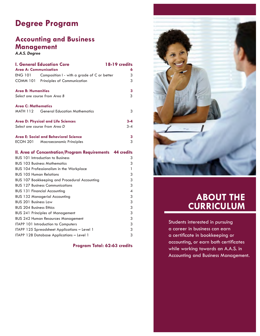## **Degree Program**

### **Accounting and Business Management**

*A.A.S. Degree*

| <b>I. General Education Core</b>                              | 18-19 credits            |
|---------------------------------------------------------------|--------------------------|
| <b>Area A: Communication</b>                                  | 6                        |
| <b>ENG 101</b><br>Composition I - with a grade of C or better | 3                        |
| <b>COMM 101</b><br><b>Principles of Communication</b>         | 3                        |
| <b>Area B: Humanities</b>                                     | 3                        |
| Select one course from Area B                                 | 3                        |
| <b>Area C: Mathematics</b>                                    |                          |
| <b>General Education Mathematics</b><br>MATH 112              | 3                        |
| <b>Area D: Physical and Life Sciences</b>                     | $3 - 4$                  |
| Select one course from Area D                                 | $3 - 4$                  |
| Area E: Social and Behavioral Science                         | 3                        |
| ECON 201<br><b>Macroeconomic Principles</b>                   | 3                        |
| <b>II. Area of Concentration/Program Requirements</b>         | <b>44 credits</b>        |
| <b>BUS 101 Introduction to Business</b>                       | 3                        |
| <b>BUS 103 Business Mathematics</b>                           | 3                        |
| <b>BUS 104 Professionalism in the Workplace</b>               | 1                        |
| <b>BUS 10.5 Human Relations</b>                               | 3                        |
| <b>BUS 107 Bookkeeping and Procedural Accounting</b>          | 3                        |
| <b>BUS 127 Business Communications</b>                        | 3                        |
| <b>BUS 131 Financial Accounting</b>                           | $\overline{\mathcal{A}}$ |
| <b>BUS 132 Managerial Accounting</b>                          | 3                        |
| <b>BUS 201 Business Law</b>                                   | 3                        |
| <b>BUS 204 Business Ethics</b>                                | 3                        |
| <b>BUS 241 Principles of Management</b>                       | 3                        |
| <b>BUS 242 Human Resources Management</b>                     | 3                        |
| ITAPP 101 Introduction to Computers                           | 3                        |
| ITAPP 125 Spreadsheet Applications - Level 1                  | 3                        |
| ITAPP 128 Database Applications - Level 1                     | 3                        |

**Program Total: 62-63 credits**



# **ABOUT THE CURRICULUM**

Students interested in pursuing a career in business can earn a certificate in bookkeeping or accounting, or earn both certificates while working towards an A.A.S. in Accounting and Business Management.